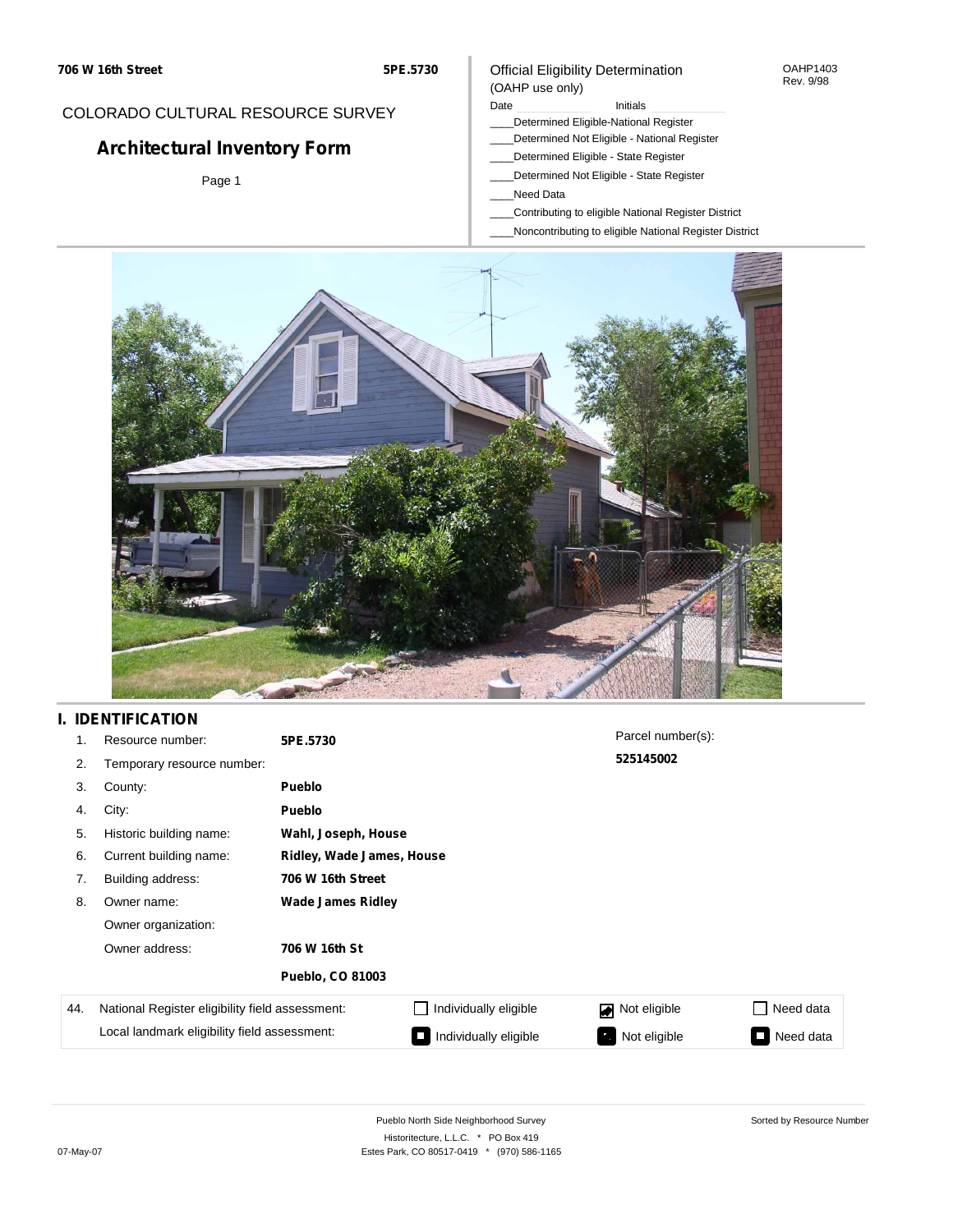### COLORADO CULTURAL RESOURCE SURVEY

# **Architectural Inventory Form**

Page 1

#### Official Eligibility Determination (OAHP use only)

#### Date **Initials** Initials

- \_\_\_\_Determined Eligible-National Register
- \_\_\_\_Determined Not Eligible National Register
- \_\_\_\_Determined Eligible State Register
- \_\_\_\_Determined Not Eligible State Register
- \_\_\_\_Need Data
- \_\_\_\_Contributing to eligible National Register District
- \_\_\_\_Noncontributing to eligible National Register District

OAHP1403 Rev. 9/98



### **I. IDENTIFICATION**

| 1.  | Resource number:                                | 5PE.5730                 |                           | Parcel number(s): |                             |  |  |  |  |
|-----|-------------------------------------------------|--------------------------|---------------------------|-------------------|-----------------------------|--|--|--|--|
| 2.  | Temporary resource number:                      |                          | 525145002                 |                   |                             |  |  |  |  |
| 3.  | County:                                         | <b>Pueblo</b>            |                           |                   |                             |  |  |  |  |
| 4.  | City:                                           | <b>Pueblo</b>            |                           |                   |                             |  |  |  |  |
| 5.  | Historic building name:                         | Wahl, Joseph, House      |                           |                   |                             |  |  |  |  |
| 6.  | Current building name:                          |                          | Ridley, Wade James, House |                   |                             |  |  |  |  |
| 7.  | Building address:                               | 706 W 16th Street        |                           |                   |                             |  |  |  |  |
| 8.  | Owner name:                                     | <b>Wade James Ridley</b> |                           |                   |                             |  |  |  |  |
|     | Owner organization:                             |                          |                           |                   |                             |  |  |  |  |
|     | Owner address:                                  | 706 W 16th St            |                           |                   |                             |  |  |  |  |
|     |                                                 | <b>Pueblo, CO 81003</b>  |                           |                   |                             |  |  |  |  |
| 44. | National Register eligibility field assessment: |                          | Individually eligible     | Not eligible      | Need data<br>$\blacksquare$ |  |  |  |  |
|     | Local landmark eligibility field assessment:    |                          | Individually eligible     | Not eligible      | Need data                   |  |  |  |  |

Sorted by Resource Number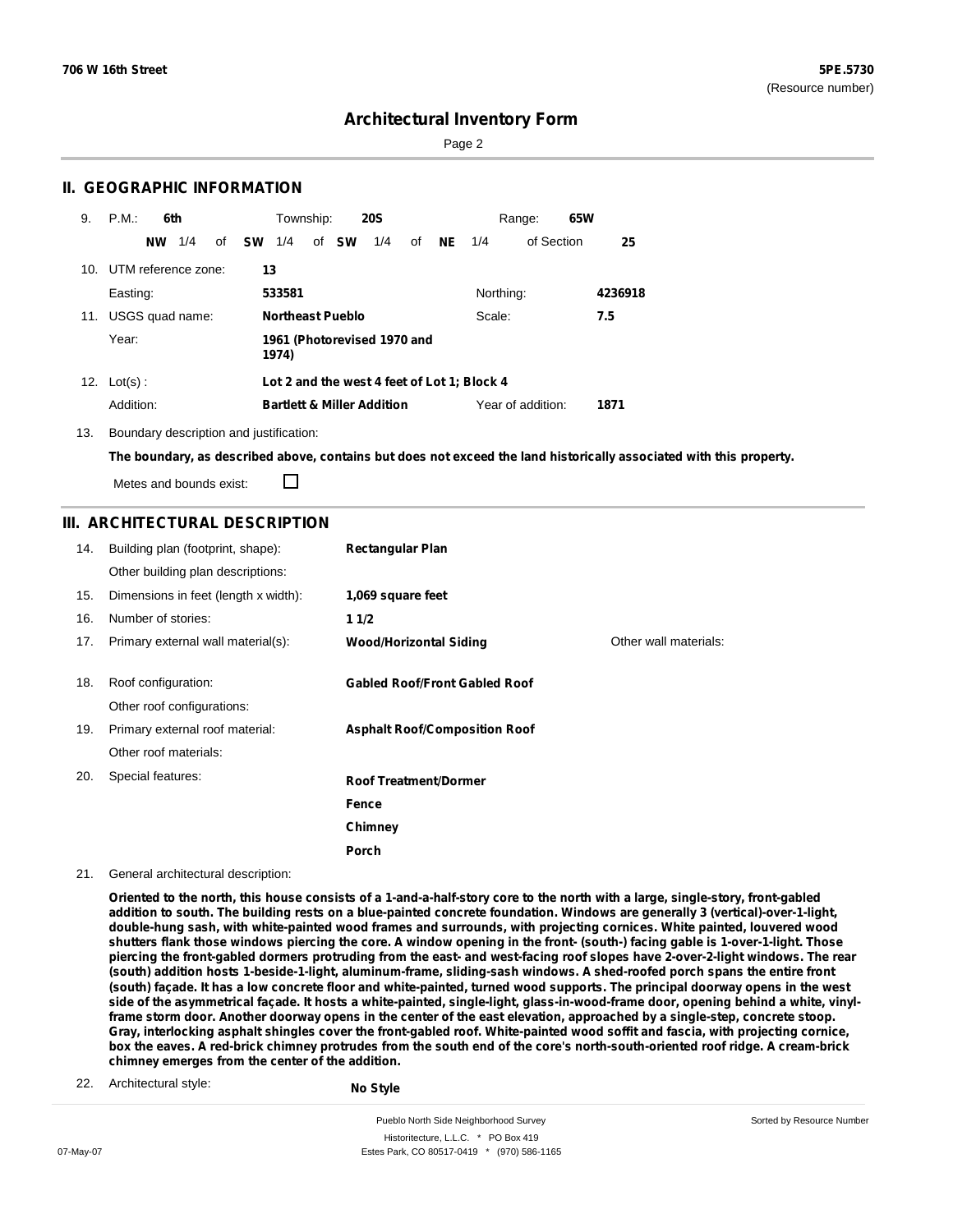Sorted by Resource Number

## **Architectural Inventory Form**

Page 2

### **II. GEOGRAPHIC INFORMATION**

| 9.  | P.M.<br>6th         |     |              |    | Township: |                         | <b>20S</b>                            |    |           |                                             | Range:            | 65W     |
|-----|---------------------|-----|--------------|----|-----------|-------------------------|---------------------------------------|----|-----------|---------------------------------------------|-------------------|---------|
|     | <b>NW</b>           | 1/4 | of <b>SW</b> |    | 1/4       | of <b>SW</b>            | 1/4                                   | οf | <b>NE</b> | 1/4                                         | of Section        | 25      |
| 10. | UTM reference zone: |     |              | 13 |           |                         |                                       |    |           |                                             |                   |         |
|     | Easting:            |     |              |    | 533581    |                         |                                       |    |           | Northing:                                   |                   | 4236918 |
| 11. | USGS quad name:     |     |              |    |           | <b>Northeast Pueblo</b> |                                       |    |           | Scale:                                      |                   | 7.5     |
|     | Year:               |     |              |    | 1974)     |                         | 1961 (Photorevised 1970 and           |    |           |                                             |                   |         |
|     | 12. $Lot(s)$ :      |     |              |    |           |                         |                                       |    |           | Lot 2 and the west 4 feet of Lot 1; Block 4 |                   |         |
|     | Addition:           |     |              |    |           |                         | <b>Bartlett &amp; Miller Addition</b> |    |           |                                             | Year of addition: | 1871    |

13. Boundary description and justification:

The boundary, as described above, contains but does not exceed the land historically associated with this property.

Metes and bounds exist:

П

#### **III. ARCHITECTURAL DESCRIPTION**

| 14. | Building plan (footprint, shape):    | <b>Rectangular Plan</b>              |                       |
|-----|--------------------------------------|--------------------------------------|-----------------------|
|     | Other building plan descriptions:    |                                      |                       |
| 15. | Dimensions in feet (length x width): | 1,069 square feet                    |                       |
| 16. | Number of stories:                   | 11/2                                 |                       |
| 17. | Primary external wall material(s):   | <b>Wood/Horizontal Siding</b>        | Other wall materials: |
|     |                                      |                                      |                       |
| 18. | Roof configuration:                  | <b>Gabled Roof/Front Gabled Roof</b> |                       |
|     | Other roof configurations:           |                                      |                       |
| 19. | Primary external roof material:      | <b>Asphalt Roof/Composition Roof</b> |                       |
|     | Other roof materials:                |                                      |                       |
| 20. | Special features:                    | <b>Roof Treatment/Dormer</b>         |                       |
|     |                                      | Fence                                |                       |
|     |                                      | Chimney                              |                       |
|     |                                      | <b>Porch</b>                         |                       |

21. General architectural description:

Oriented to the north, this house consists of a 1-and-a-half-story core to the north with a large, single-story, front-gabled addition to south. The building rests on a blue-painted concrete foundation. Windows are generally 3 (vertical)-over-1-light, **double-hung sash, with white-painted wood frames and surrounds, with projecting cornices. White painted, louvered wood** shutters flank those windows piercing the core. A window opening in the front- (south-) facing gable is 1-over-1-light. Those piercing the front-gabled dormers protruding from the east- and west-facing roof slopes have 2-over-2-light windows. The rear **(south) addition hosts 1-beside-1-light, aluminum-frame, sliding-sash windows. A shed-roofed porch spans the entire front** (south) façade. It has a low concrete floor and white-painted, turned wood supports. The principal doorway opens in the west side of the asymmetrical façade. It hosts a white-painted, single-light, glass-in-wood-frame door, opening behind a white, vinylframe storm door. Another doorway opens in the center of the east elevation, approached by a single-step, concrete stoop. Gray, interlocking asphalt shingles cover the front-gabled roof. White-painted wood soffit and fascia, with projecting cornice, box the eaves. A red-brick chimney protrudes from the south end of the core's north-south-oriented roof ridge. A cream-brick **chimney emerges from the center of the addition.**

22. Architectural style:

**No Style**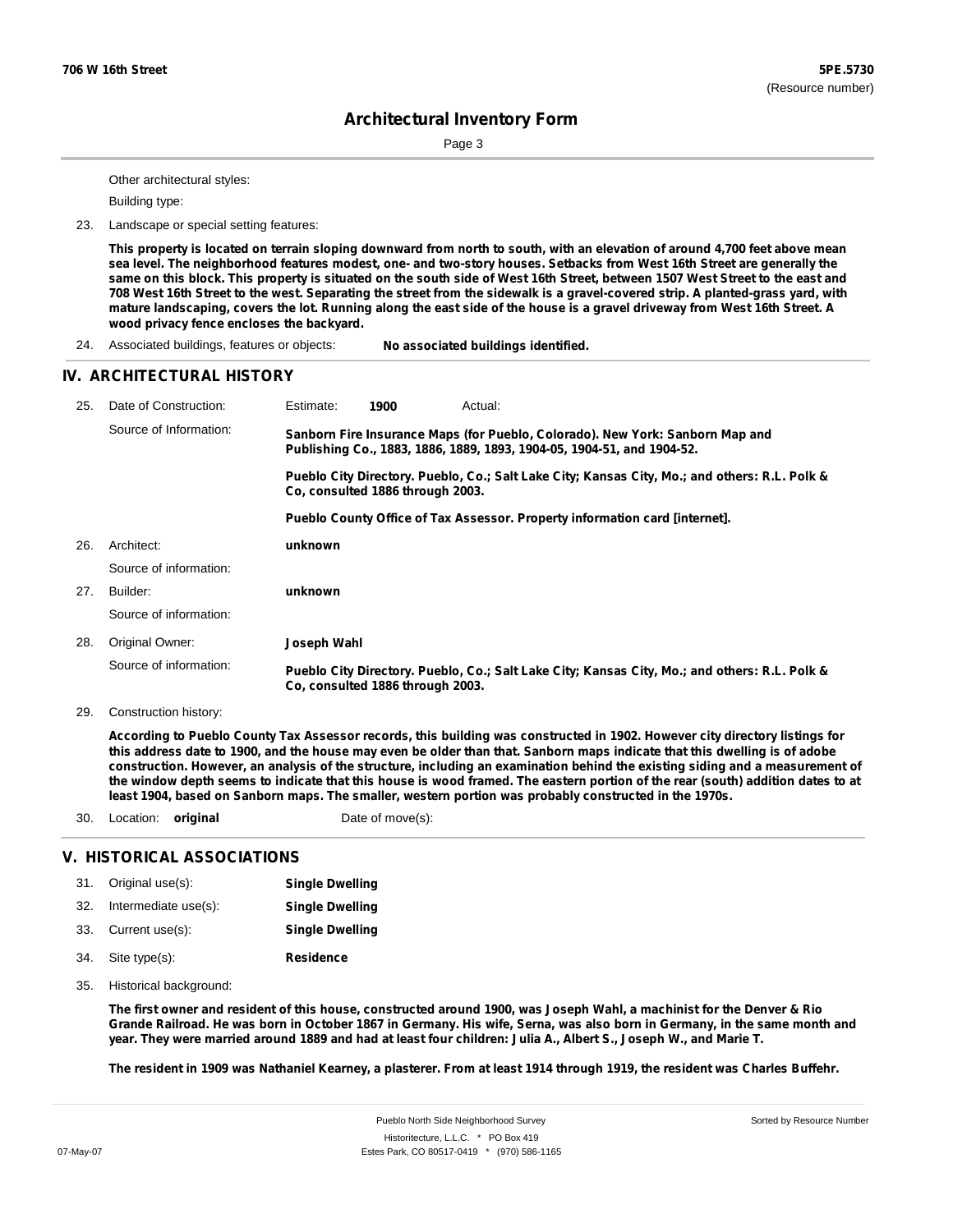Page 3

Other architectural styles:

Building type:

23. Landscape or special setting features:

This property is located on terrain sloping downward from north to south, with an elevation of around 4,700 feet above mean sea level. The neighborhood features modest, one- and two-story houses. Setbacks from West 16th Street are generally the same on this block. This property is situated on the south side of West 16th Street, between 1507 West Street to the east and 708 West 16th Street to the west. Separating the street from the sidewalk is a gravel-covered strip. A planted-grass yard, with mature landscaping, covers the lot. Running along the east side of the house is a gravel driveway from West 16th Street. A **wood privacy fence encloses the backyard.**

24. Associated buildings, features or objects: **No associated buildings identified.**

#### **IV. ARCHITECTURAL HISTORY**

| 25. | Date of Construction:  | Estimate:                                                                                                                                               | 1900                                                                                                                              | Actual:                                                                                       |  |  |  |  |  |
|-----|------------------------|---------------------------------------------------------------------------------------------------------------------------------------------------------|-----------------------------------------------------------------------------------------------------------------------------------|-----------------------------------------------------------------------------------------------|--|--|--|--|--|
|     | Source of Information: | Sanborn Fire Insurance Maps (for Pueblo, Colorado). New York: Sanborn Map and<br>Publishing Co., 1883, 1886, 1889, 1893, 1904-05, 1904-51, and 1904-52. |                                                                                                                                   |                                                                                               |  |  |  |  |  |
|     |                        |                                                                                                                                                         | Pueblo City Directory. Pueblo, Co.; Salt Lake City; Kansas City, Mo.; and others: R.L. Polk &<br>Co. consulted 1886 through 2003. |                                                                                               |  |  |  |  |  |
|     |                        |                                                                                                                                                         |                                                                                                                                   | Pueblo County Office of Tax Assessor. Property information card [internet].                   |  |  |  |  |  |
| 26. | Architect:             | unknown                                                                                                                                                 |                                                                                                                                   |                                                                                               |  |  |  |  |  |
|     | Source of information: |                                                                                                                                                         |                                                                                                                                   |                                                                                               |  |  |  |  |  |
| 27. | Builder:               | unknown                                                                                                                                                 |                                                                                                                                   |                                                                                               |  |  |  |  |  |
|     | Source of information: |                                                                                                                                                         |                                                                                                                                   |                                                                                               |  |  |  |  |  |
| 28. | Original Owner:        | Joseph Wahl                                                                                                                                             |                                                                                                                                   |                                                                                               |  |  |  |  |  |
|     | Source of information: |                                                                                                                                                         | Co, consulted 1886 through 2003.                                                                                                  | Pueblo City Directory. Pueblo, Co.; Salt Lake City; Kansas City, Mo.; and others: R.L. Polk & |  |  |  |  |  |

29. Construction history:

According to Pueblo County Tax Assessor records, this building was constructed in 1902. However city directory listings for this address date to 1900, and the house may even be older than that. Sanborn maps indicate that this dwelling is of adobe construction. However, an analysis of the structure, including an examination behind the existing siding and a measurement of the window depth seems to indicate that this house is wood framed. The eastern portion of the rear (south) addition dates to at **least 1904, based on Sanborn maps. The smaller, western portion was probably constructed in the 1970s.**

30. Location: **original** Date of move(s):

#### **V. HISTORICAL ASSOCIATIONS**

|     | 31. Original use(s): | <b>Single Dwelling</b> |
|-----|----------------------|------------------------|
| 32. | Intermediate use(s): | <b>Single Dwelling</b> |
|     | 33. Current use(s):  | <b>Single Dwelling</b> |
|     | 34. Site type(s):    | <b>Residence</b>       |

35. Historical background:

The first owner and resident of this house, constructed around 1900, was Joseph Wahl, a machinist for the Denver & Rio Grande Railroad. He was born in October 1867 in Germany. His wife, Serna, was also born in Germany, in the same month and year. They were married around 1889 and had at least four children: Julia A., Albert S., Joseph W., and Marie T.

The resident in 1909 was Nathaniel Kearney, a plasterer. From at least 1914 through 1919, the resident was Charles Buffehr.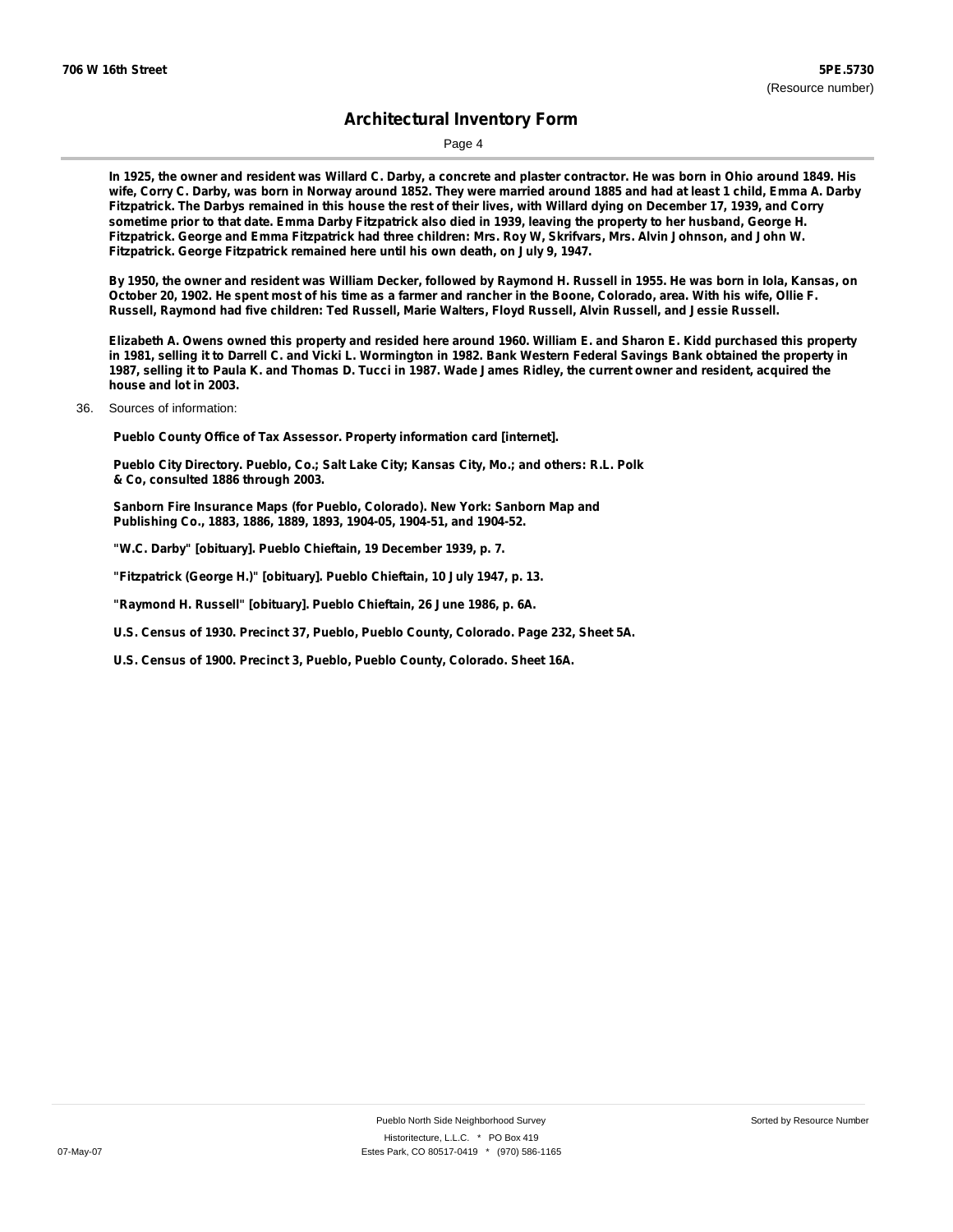Page 4

In 1925, the owner and resident was Willard C. Darby, a concrete and plaster contractor. He was born in Ohio around 1849. His wife, Corry C. Darby, was born in Norway around 1852. They were married around 1885 and had at least 1 child, Emma A. Darby Fitzpatrick. The Darbys remained in this house the rest of their lives, with Willard dying on December 17, 1939, and Corry sometime prior to that date. Emma Darby Fitzpatrick also died in 1939, leaving the property to her husband, George H. Fitzpatrick. George and Emma Fitzpatrick had three children: Mrs. Roy W, Skrifvars, Mrs. Alvin Johnson, and John W. **Fitzpatrick. George Fitzpatrick remained here until his own death, on July 9, 1947.**

By 1950, the owner and resident was William Decker, followed by Raymond H. Russell in 1955. He was born in Iola, Kansas, on October 20, 1902. He spent most of his time as a farmer and rancher in the Boone, Colorado, area. With his wife, Ollie F. Russell, Raymond had five children: Ted Russell, Marie Walters, Floyd Russell, Alvin Russell, and Jessie Russell.

Elizabeth A. Owens owned this property and resided here around 1960. William E. and Sharon E. Kidd purchased this property in 1981, selling it to Darrell C. and Vicki L. Wormington in 1982. Bank Western Federal Savings Bank obtained the property in 1987, selling it to Paula K. and Thomas D. Tucci in 1987. Wade James Ridley, the current owner and resident, acquired the **house and lot in 2003.**

36. Sources of information:

**Pueblo County Office of Tax Assessor. Property information card [internet].**

**Pueblo City Directory. Pueblo, Co.; Salt Lake City; Kansas City, Mo.; and others: R.L. Polk & Co, consulted 1886 through 2003.**

**Sanborn Fire Insurance Maps (for Pueblo, Colorado). New York: Sanborn Map and Publishing Co., 1883, 1886, 1889, 1893, 1904-05, 1904-51, and 1904-52.**

**"W.C. Darby" [obituary]. Pueblo Chieftain, 19 December 1939, p. 7.**

**"Fitzpatrick (George H.)" [obituary]. Pueblo Chieftain, 10 July 1947, p. 13.**

**"Raymond H. Russell" [obituary]. Pueblo Chieftain, 26 June 1986, p. 6A.**

**U.S. Census of 1930. Precinct 37, Pueblo, Pueblo County, Colorado. Page 232, Sheet 5A.**

**U.S. Census of 1900. Precinct 3, Pueblo, Pueblo County, Colorado. Sheet 16A.**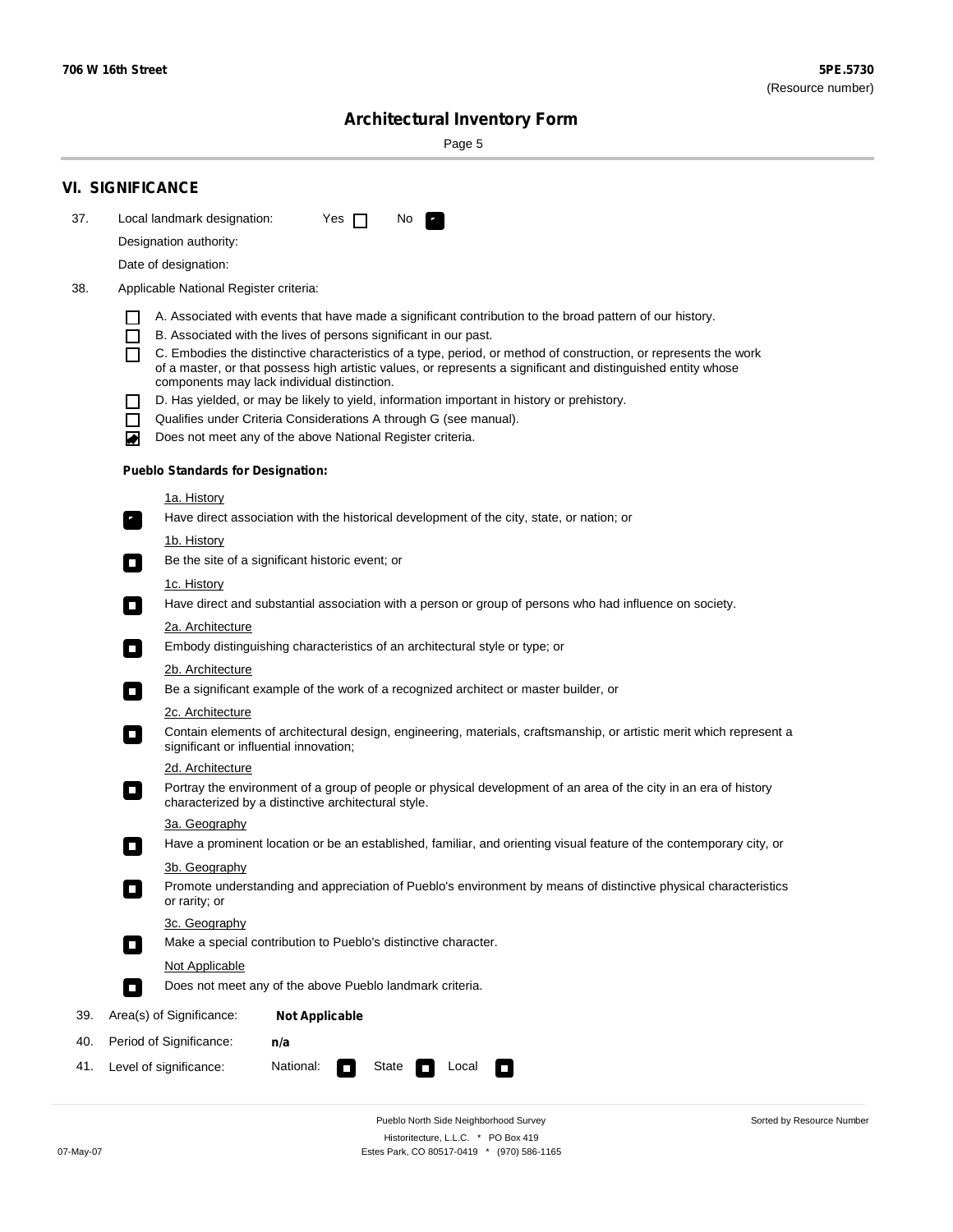$\sim$ 

Sorted by Resource Number

## **Architectural Inventory Form**

Page 5

|                                                                                                                                                                                                                                                                     | <b>VI. SIGNIFICANCE</b>                                                                                                                                      |  |  |  |  |  |  |
|---------------------------------------------------------------------------------------------------------------------------------------------------------------------------------------------------------------------------------------------------------------------|--------------------------------------------------------------------------------------------------------------------------------------------------------------|--|--|--|--|--|--|
| 37.                                                                                                                                                                                                                                                                 | Local landmark designation:<br>Yes $\Box$<br>No.<br>P.                                                                                                       |  |  |  |  |  |  |
|                                                                                                                                                                                                                                                                     | Designation authority:                                                                                                                                       |  |  |  |  |  |  |
|                                                                                                                                                                                                                                                                     | Date of designation:                                                                                                                                         |  |  |  |  |  |  |
| 38.                                                                                                                                                                                                                                                                 | Applicable National Register criteria:                                                                                                                       |  |  |  |  |  |  |
|                                                                                                                                                                                                                                                                     | A. Associated with events that have made a significant contribution to the broad pattern of our history.<br>ΙI                                               |  |  |  |  |  |  |
|                                                                                                                                                                                                                                                                     | B. Associated with the lives of persons significant in our past.<br>ΙI                                                                                       |  |  |  |  |  |  |
|                                                                                                                                                                                                                                                                     | C. Embodies the distinctive characteristics of a type, period, or method of construction, or represents the work                                             |  |  |  |  |  |  |
|                                                                                                                                                                                                                                                                     | of a master, or that possess high artistic values, or represents a significant and distinguished entity whose<br>components may lack individual distinction. |  |  |  |  |  |  |
|                                                                                                                                                                                                                                                                     | D. Has yielded, or may be likely to yield, information important in history or prehistory.<br>ΙI                                                             |  |  |  |  |  |  |
|                                                                                                                                                                                                                                                                     | Qualifies under Criteria Considerations A through G (see manual).<br>$\blacksquare$                                                                          |  |  |  |  |  |  |
|                                                                                                                                                                                                                                                                     | Does not meet any of the above National Register criteria.<br>◙                                                                                              |  |  |  |  |  |  |
|                                                                                                                                                                                                                                                                     | <b>Pueblo Standards for Designation:</b>                                                                                                                     |  |  |  |  |  |  |
|                                                                                                                                                                                                                                                                     | <u>1a. History</u>                                                                                                                                           |  |  |  |  |  |  |
|                                                                                                                                                                                                                                                                     | Have direct association with the historical development of the city, state, or nation; or<br>$\mathbf{r}_\perp$                                              |  |  |  |  |  |  |
|                                                                                                                                                                                                                                                                     | 1b. History                                                                                                                                                  |  |  |  |  |  |  |
|                                                                                                                                                                                                                                                                     | Be the site of a significant historic event; or<br>$\overline{\phantom{a}}$                                                                                  |  |  |  |  |  |  |
|                                                                                                                                                                                                                                                                     | 1c. History                                                                                                                                                  |  |  |  |  |  |  |
|                                                                                                                                                                                                                                                                     | Have direct and substantial association with a person or group of persons who had influence on society.<br>$\overline{\phantom{a}}$                          |  |  |  |  |  |  |
|                                                                                                                                                                                                                                                                     | 2a. Architecture                                                                                                                                             |  |  |  |  |  |  |
| Embody distinguishing characteristics of an architectural style or type; or<br>$\Box$                                                                                                                                                                               |                                                                                                                                                              |  |  |  |  |  |  |
|                                                                                                                                                                                                                                                                     | <u>2b. Architecture</u>                                                                                                                                      |  |  |  |  |  |  |
| Be a significant example of the work of a recognized architect or master builder, or<br>$\overline{\phantom{a}}$<br><b>2c. Architecture</b><br>Contain elements of architectural design, engineering, materials, craftsmanship, or artistic merit which represent a |                                                                                                                                                              |  |  |  |  |  |  |
|                                                                                                                                                                                                                                                                     |                                                                                                                                                              |  |  |  |  |  |  |
|                                                                                                                                                                                                                                                                     | 2d. Architecture                                                                                                                                             |  |  |  |  |  |  |
| Portray the environment of a group of people or physical development of an area of the city in an era of history<br>$\mathcal{L}_{\mathcal{A}}$<br>characterized by a distinctive architectural style.                                                              |                                                                                                                                                              |  |  |  |  |  |  |
|                                                                                                                                                                                                                                                                     | 3a. Geography                                                                                                                                                |  |  |  |  |  |  |
|                                                                                                                                                                                                                                                                     | Have a prominent location or be an established, familiar, and orienting visual feature of the contemporary city, or<br>П                                     |  |  |  |  |  |  |
|                                                                                                                                                                                                                                                                     | 3b. Geography                                                                                                                                                |  |  |  |  |  |  |
|                                                                                                                                                                                                                                                                     | Promote understanding and appreciation of Pueblo's environment by means of distinctive physical characteristics<br>or rarity; or                             |  |  |  |  |  |  |
|                                                                                                                                                                                                                                                                     | 3c. Geography                                                                                                                                                |  |  |  |  |  |  |
|                                                                                                                                                                                                                                                                     | Make a special contribution to Pueblo's distinctive character.<br>$\Box$                                                                                     |  |  |  |  |  |  |
|                                                                                                                                                                                                                                                                     | Not Applicable                                                                                                                                               |  |  |  |  |  |  |
|                                                                                                                                                                                                                                                                     | Does not meet any of the above Pueblo landmark criteria.<br>$\overline{\phantom{a}}$                                                                         |  |  |  |  |  |  |
| 39.                                                                                                                                                                                                                                                                 | Area(s) of Significance:<br><b>Not Applicable</b>                                                                                                            |  |  |  |  |  |  |
| 40.                                                                                                                                                                                                                                                                 | Period of Significance:<br>n/a                                                                                                                               |  |  |  |  |  |  |
| 41.                                                                                                                                                                                                                                                                 | National:<br>Level of significance:<br>Local<br>State<br>о                                                                                                   |  |  |  |  |  |  |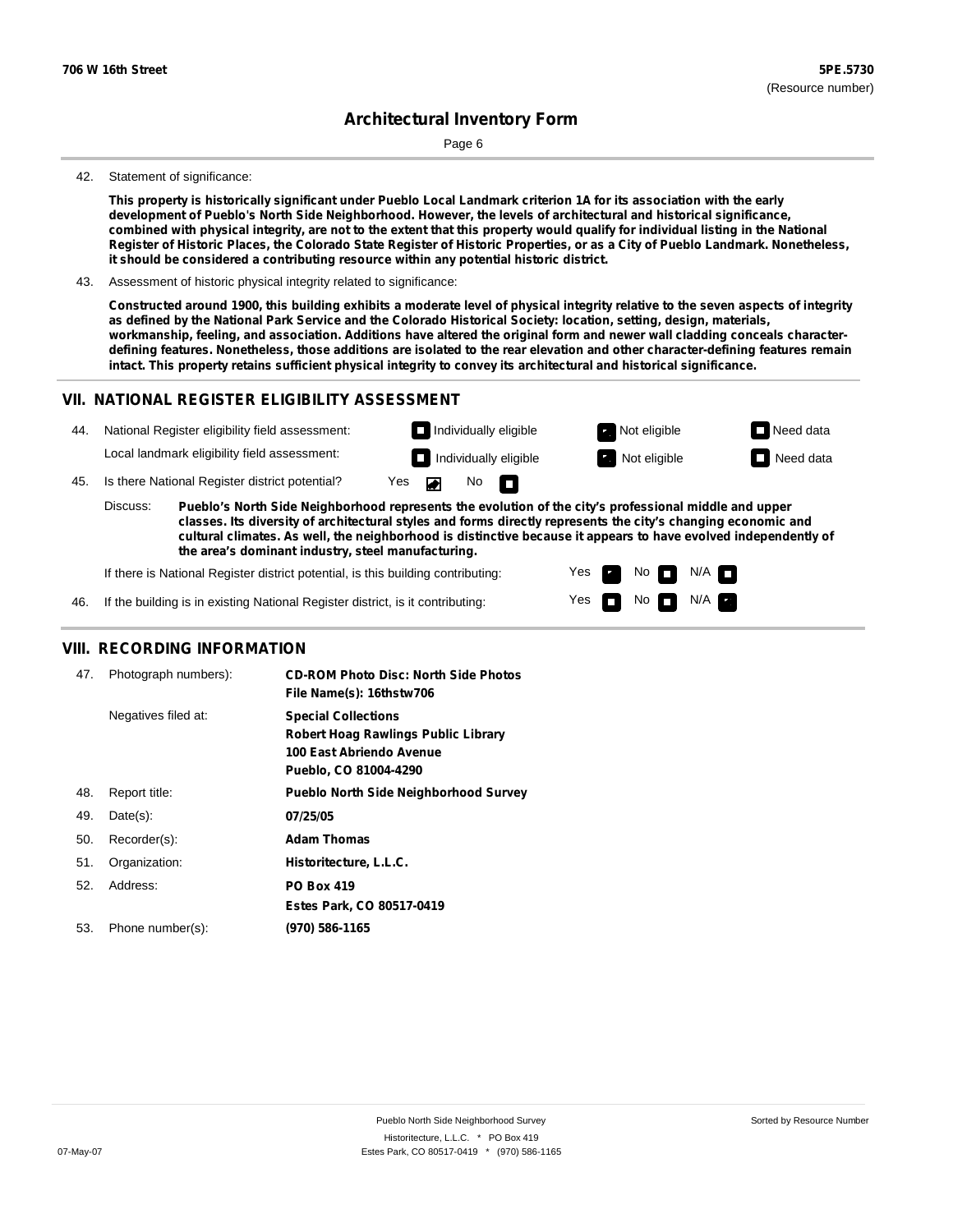Page 6

#### 42. Statement of significance:

This property is historically significant under Pueblo Local Landmark criterion 1A for its association with the early **development of Pueblo's North Side Neighborhood. However, the levels of architectural and historical significance,** combined with physical integrity, are not to the extent that this property would qualify for individual listing in the National Register of Historic Places, the Colorado State Register of Historic Properties, or as a City of Pueblo Landmark. Nonetheless, **it should be considered a contributing resource within any potential historic district.**

43. Assessment of historic physical integrity related to significance:

Constructed around 1900, this building exhibits a moderate level of physical integrity relative to the seven aspects of integrity as defined by the National Park Service and the Colorado Historical Society: location, setting, design, materials, workmanship, feeling, and association. Additions have altered the original form and newer wall cladding conceals characterdefining features. Nonetheless, those additions are isolated to the rear elevation and other character-defining features remain **intact. This property retains sufficient physical integrity to convey its architectural and historical significance.**

#### **VII. NATIONAL REGISTER ELIGIBILITY ASSESSMENT**

| 44. |                                                                                                                                                                                                                                    | National Register eligibility field assessment: |     |    |                     | $\Box$ Individually eligible | Not eligible        | $\Box$ Need data |
|-----|------------------------------------------------------------------------------------------------------------------------------------------------------------------------------------------------------------------------------------|-------------------------------------------------|-----|----|---------------------|------------------------------|---------------------|------------------|
|     |                                                                                                                                                                                                                                    | Local landmark eligibility field assessment:    |     |    |                     | $\Box$ Individually eligible | <b>Not eligible</b> | $\Box$ Need data |
| 45. |                                                                                                                                                                                                                                    | Is there National Register district potential?  | Yes | ਾ≖ | $No$ $\blacksquare$ |                              |                     |                  |
|     | Discuss:<br>Pueblo's North Side Neighborhood represents the evolution of the city's professional middle and upper<br>classes. Its diversity of architectural styles and forms directly represents the city's changing economic and |                                                 |     |    |                     |                              |                     |                  |

**cultural climates. As well, the neighborhood is distinctive because it appears to have evolved independently of the area's dominant industry, steel manufacturing.**

> Yes Yes

No<sub>I</sub>I

No  $\blacksquare$  N/A  $\blacksquare$ 

 $N/A$   $\Box$ 

If there is National Register district potential, is this building contributing:

46. If the building is in existing National Register district, is it contributing:

#### **VIII. RECORDING INFORMATION**

| 47. | Photograph numbers): | <b>CD-ROM Photo Disc: North Side Photos</b><br>File Name(s): 16thstw706                                                       |
|-----|----------------------|-------------------------------------------------------------------------------------------------------------------------------|
|     | Negatives filed at:  | <b>Special Collections</b><br><b>Robert Hoag Rawlings Public Library</b><br>100 East Abriendo Avenue<br>Pueblo, CO 81004-4290 |
| 48. | Report title:        | <b>Pueblo North Side Neighborhood Survey</b>                                                                                  |
| 49. | $Date(s)$ :          | 07/25/05                                                                                                                      |
| 50. | Recorder(s):         | <b>Adam Thomas</b>                                                                                                            |
| 51. | Organization:        | Historitecture, L.L.C.                                                                                                        |
| 52. | Address:             | <b>PO Box 419</b>                                                                                                             |
|     |                      | Estes Park, CO 80517-0419                                                                                                     |
| 53. | Phone number(s):     | (970) 586-1165                                                                                                                |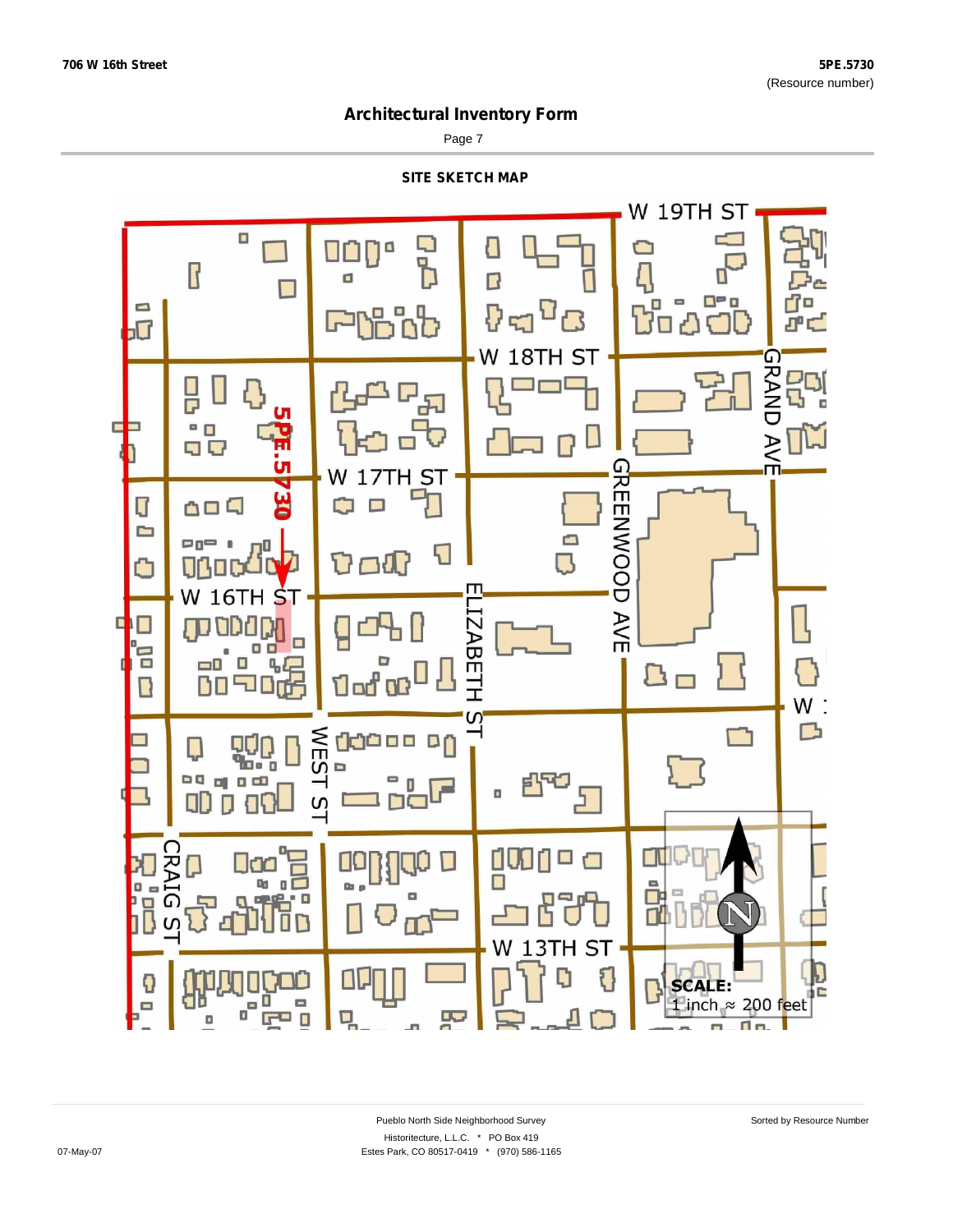Page 7